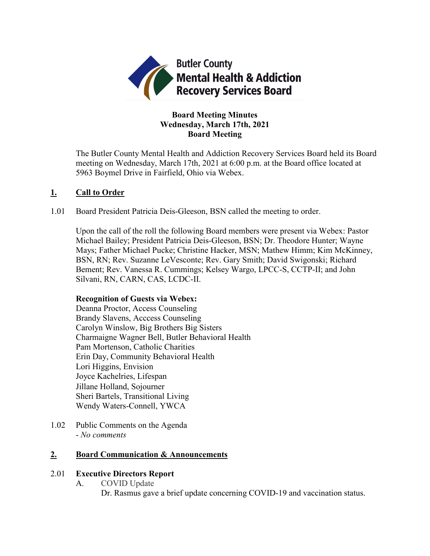

# **Board Meeting Minutes Wednesday, March 17th, 2021 Board Meeting**

The Butler County Mental Health and Addiction Recovery Services Board held its Board meeting on Wednesday, March 17th, 2021 at 6:00 p.m. at the Board office located at 5963 Boymel Drive in Fairfield, Ohio via Webex.

# **1. Call to Order**

1.01 Board President Patricia Deis-Gleeson, BSN called the meeting to order.

Upon the call of the roll the following Board members were present via Webex: Pastor Michael Bailey; President Patricia Deis-Gleeson, BSN; Dr. Theodore Hunter; Wayne Mays; Father Michael Pucke; Christine Hacker, MSN; Mathew Himm; Kim McKinney, BSN, RN; Rev. Suzanne LeVesconte; Rev. Gary Smith; David Swigonski; Richard Bement; Rev. Vanessa R. Cummings; Kelsey Wargo, LPCC-S, CCTP-II; and John Silvani, RN, CARN, CAS, LCDC-II.

# **Recognition of Guests via Webex:**

Deanna Proctor, Access Counseling Brandy Slavens, Acccess Counseling Carolyn Winslow, Big Brothers Big Sisters Charmaigne Wagner Bell, Butler Behavioral Health Pam Mortenson, Catholic Charities Erin Day, Community Behavioral Health Lori Higgins, Envision Joyce Kachelries, Lifespan Jillane Holland, Sojourner Sheri Bartels, Transitional Living Wendy Waters-Connell, YWCA

1.02 Public Comments on the Agenda - *No comments*

# **2. Board Communication & Announcements**

# 2.01 **Executive Directors Report**

- A. COVID Update
	- Dr. Rasmus gave a brief update concerning COVID-19 and vaccination status.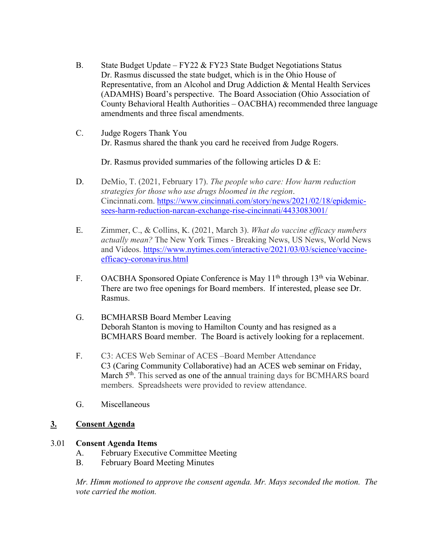- B. State Budget Update FY22 & FY23 State Budget Negotiations Status Dr. Rasmus discussed the state budget, which is in the Ohio House of Representative, from an Alcohol and Drug Addiction & Mental Health Services (ADAMHS) Board's perspective. The Board Association (Ohio Association of County Behavioral Health Authorities – OACBHA) recommended three language amendments and three fiscal amendments.
- C. Judge Rogers Thank You Dr. Rasmus shared the thank you card he received from Judge Rogers.

Dr. Rasmus provided summaries of the following articles  $D & E$ :

- D. DeMio, T. (2021, February 17). *The people who care: How harm reduction strategies for those who use drugs bloomed in the region*. Cincinnati.com. [https://www.cincinnati.com/story/news/2021/02/18/epidemic](https://www.cincinnati.com/story/news/2021/02/18/epidemic-sees-harm-reduction-narcan-exchange-rise-cincinnati/4433083001/)[sees-harm-reduction-narcan-exchange-rise-cincinnati/4433083001/](https://www.cincinnati.com/story/news/2021/02/18/epidemic-sees-harm-reduction-narcan-exchange-rise-cincinnati/4433083001/)
- E. Zimmer, C., & Collins, K. (2021, March 3). *What do vaccine efficacy numbers actually mean?* The New York Times - Breaking News, US News, World News and Videos. [https://www.nytimes.com/interactive/2021/03/03/science/vaccine](https://www.nytimes.com/interactive/2021/03/03/science/vaccine-efficacy-coronavirus.html)[efficacy-coronavirus.html](https://www.nytimes.com/interactive/2021/03/03/science/vaccine-efficacy-coronavirus.html)
- F. OACBHA Sponsored Opiate Conference is May 11<sup>th</sup> through 13<sup>th</sup> via Webinar. There are two free openings for Board members. If interested, please see Dr. Rasmus.
- G. BCMHARSB Board Member Leaving Deborah Stanton is moving to Hamilton County and has resigned as a BCMHARS Board member. The Board is actively looking for a replacement.
- F. C3: ACES Web Seminar of ACES –Board Member Attendance C3 (Caring Community Collaborative) had an ACES web seminar on Friday, March 5<sup>th</sup>. This served as one of the annual training days for BCMHARS board members. Spreadsheets were provided to review attendance.
- G. Miscellaneous

# **3. Consent Agenda**

# 3.01 **Consent Agenda Items**

- A. February Executive Committee Meeting
- B. February Board Meeting Minutes

*Mr. Himm motioned to approve the consent agenda. Mr. Mays seconded the motion. The vote carried the motion.*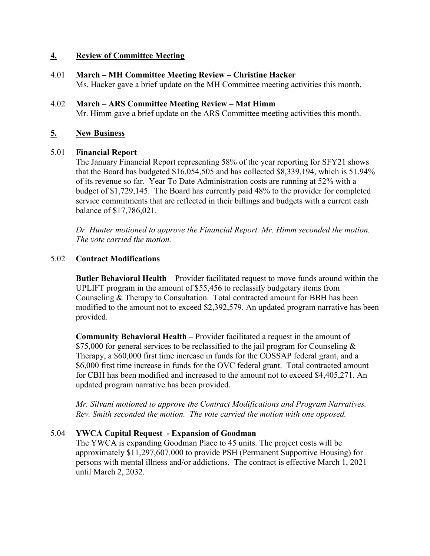# **4. Review of Committee Meeting**

- 4.01 **March – MH Committee Meeting Review – Christine Hacker** Ms. Hacker gave a brief update on the MH Committee meeting activities this month.
- 4.02 **March – ARS Committee Meeting Review – Mat Himm** Mr. Himm gave a brief update on the ARS Committee meeting activities this month.

## **5. New Business**

#### 5.01 **Financial Report**

The January Financial Report representing 58% of the year reporting for SFY21 shows that the Board has budgeted \$16,054,505 and has collected \$8,339,194, which is 51.94% of its revenue so far. Year To Date Administration costs are running at 52% with a budget of \$1,729,145. The Board has currently paid 48% to the provider for completed service commitments that are reflected in their billings and budgets with a current cash balance of \$17,786,021.

*Dr. Hunter motioned to approve the Financial Report. Mr. Himm seconded the motion. The vote carried the motion.*

## 5.02 **Contract Modifications**

**Butler Behavioral Health** – Provider facilitated request to move funds around within the UPLIFT program in the amount of \$55,456 to reclassify budgetary items from Counseling & Therapy to Consultation. Total contracted amount for BBH has been modified to the amount not to exceed \$2,392,579. An updated program narrative has been provided.

**Community Behavioral Health –** Provider facilitated a request in the amount of \$75,000 for general services to be reclassified to the jail program for Counseling  $\&$ Therapy, a \$60,000 first time increase in funds for the COSSAP federal grant, and a \$6,000 first time increase in funds for the OVC federal grant. Total contracted amount for CBH has been modified and increased to the amount not to exceed \$4,405,271. An updated program narrative has been provided.

*Mr. Silvani motioned to approve the Contract Modifications and Program Narratives. Rev. Smith seconded the motion. The vote carried the motion with one opposed.*

# 5.04 **YWCA Capital Request - Expansion of Goodman**

The YWCA is expanding Goodman Place to 45 units. The project costs will be approximately \$11,297,607.000 to provide PSH (Permanent Supportive Housing) for persons with mental illness and/or addictions. The contract is effective March 1, 2021 until March 2, 2032.